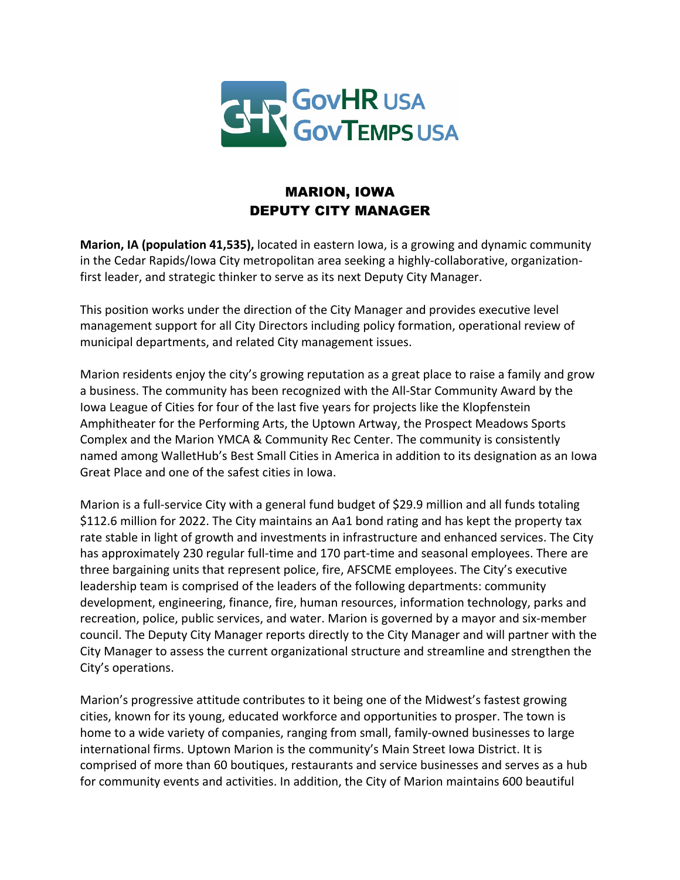

## MARION, IOWA DEPUTY CITY MANAGER

**Marion, IA (population 41,535),** located in eastern Iowa, is a growing and dynamic community in the Cedar Rapids/Iowa City metropolitan area seeking a highly-collaborative, organizationfirst leader, and strategic thinker to serve as its next Deputy City Manager.

This position works under the direction of the City Manager and provides executive level management support for all City Directors including policy formation, operational review of municipal departments, and related City management issues.

Marion residents enjoy the city's growing reputation as a great place to raise a family and grow a business. The community has been recognized with the All-Star Community Award by the Iowa League of Cities for four of the last five years for projects like the Klopfenstein Amphitheater for the Performing Arts, the Uptown Artway, the Prospect Meadows Sports Complex and the Marion YMCA & Community Rec Center. The community is consistently named among WalletHub's Best Small Cities in America in addition to its designation as an Iowa Great Place and one of the safest cities in Iowa.

Marion is a full-service City with a general fund budget of \$29.9 million and all funds totaling \$112.6 million for 2022. The City maintains an Aa1 bond rating and has kept the property tax rate stable in light of growth and investments in infrastructure and enhanced services. The City has approximately 230 regular full-time and 170 part-time and seasonal employees. There are three bargaining units that represent police, fire, AFSCME employees. The City's executive leadership team is comprised of the leaders of the following departments: community development, engineering, finance, fire, human resources, information technology, parks and recreation, police, public services, and water. Marion is governed by a mayor and six-member council. The Deputy City Manager reports directly to the City Manager and will partner with the City Manager to assess the current organizational structure and streamline and strengthen the City's operations.

Marion's progressive attitude contributes to it being one of the Midwest's fastest growing cities, known for its young, educated workforce and opportunities to prosper. The town is home to a wide variety of companies, ranging from small, family-owned businesses to large international firms. Uptown Marion is the community's Main Street Iowa District. It is comprised of more than 60 boutiques, restaurants and service businesses and serves as a hub for community events and activities. In addition, the City of Marion maintains 600 beautiful